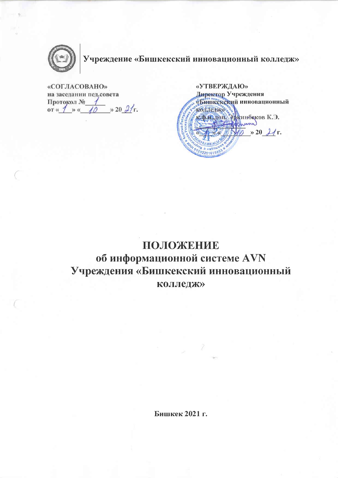

Учреждение «Бишкекский инновационный колледж»

«СОГЛАСОВАНО» на заседании пед, совета Протокол № 1  $\gg 20 \frac{2}{r}$ . or  $\sqrt{1 + 40}$ 

«УТВЕРЖДАЮ» Директор Учреждения «Бишкекский инновационный KOLLEIAN SARINGEROB K. J.  $\rightarrow 20 \cancel{1}$ r.

# ПОЛОЖЕНИЕ об информационной системе AVN Учреждения «Бишкекский инновационный колледж»

Бишкек 2021 г.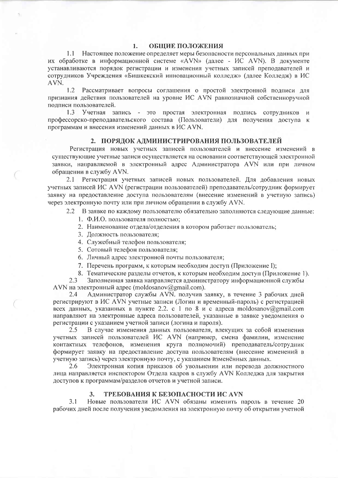#### $1.$ ОБЩИЕ ПОЛОЖЕНИЯ

Настоящее положение определяет меры безопасности персональных данных при  $1.1$ их обработке в информационной системе «AVN» (далее - ИС AVN). В документе устанавливаются порядок регистрации и изменения учетных записей преподавателей и сотрудников Учреждения «Бишкекский инновационный колледж» (далее Колледж) в ИС AVN.

Рассматривает вопросы соглашения о простой электронной подписи для 1.2 признания действия пользователей на уровне ИС AVN равнозначной собственноручной полписи пользователей.

Учетная запись - это простая электронная подпись сотрудников и  $1.3$ профессорско-преподавательского состава (Пользователи) для получения доступа к программам и внесения изменений данных в ИС AVN.

### 2. ПОРЯДОК АДМИНИСТРИРОВАНИЯ ПОЛЬЗОВАТЕЛЕЙ

Регистрация новых учетных записей пользователей и внесение изменений в существующие учетные записи осуществляется на основании соответствующей электронной заявки, направляемой в электронный адрес Администратора AVN или при личном обращении в службу AVN.

Регистрация учетных записей новых пользователей. Для добавления новых 2.1 учетных записей ИС AVN (регистрации пользователей) преподаватель/сотрудник формирует заявку на предоставление доступа пользователям (внесение изменений в учетную запись) через электронную почту или при личном обращении в службу AVN.

- В заявке по каждому пользователю обязательно заполняются следующие данные:  $2.2$ 
	- 1. Ф.И.О. пользователя полностью;
	- 2. Наименование отдела/отделения в котором работает пользователь;
	- 3. Должность пользователя;
	- 4. Служебный телефон пользователя;
	- 5. Сотовый телефон пользователя;
	- 6. Личный адрес электронной почты пользователя;
	- 7. Перечень программ, к которым необходим доступ (Приложение I);
	- 8. Тематические разделы отчетов, к которым необходим доступ (Приложение 1).

Заполненная заявка направляется администратору информационной службы 2.3 AVN на электронный адрес (moldosanov $\omega$ gmail.com).

2.4 Администратор службы AVN. получив заявку, в течение 3 рабочих дней регистрируют в ИС AVN учетные записи (Логин и временный-пароль) с регистрацией всех данных, указанных в пункте 2.2. с 1 по 8 и с адреса moldosanov@gmail.com направляют на электронные адреса пользователей, указанные в заявке уведомления о регистрации с указанием учетной записи (логина и пароля).

2.5 В случае изменения данных пользователя, влекущих за собой изменения учетных записей пользователей ИС AVN (например, смена фамилии, изменение контактных телефонов, изменения круга полномочий) преподаватель/сотрудник формирует заявку на предоставление доступа пользователям (внесение изменений в учетную запись) через электронную почту, с указанием изменённых данных.

2.6 Электронная копия приказов об увольнении или перевода должностного лица направляется инспектором Отдела кадров в службу AVN Колледжа для закрытия доступов к программам/разделов отчетов и учетной записи.

### **ТРЕБОВАНИЯ К БЕЗОПАСНОСТИ ИС AVN**  $3.$

Новые пользователи ИС AVN обязаны изменить пароль в течение 20  $3.1$ рабочих дней после получения уведомления на электронную почту об открытии учетной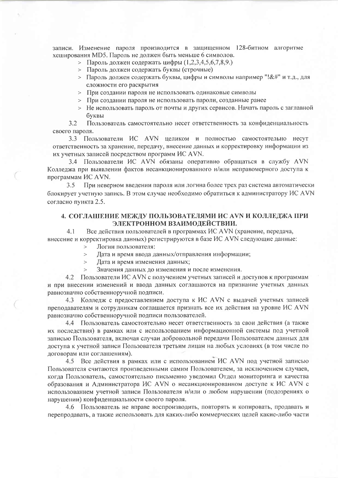записи. Изменение пароля производится в защищенном 128-битном алгоритме хеширования МD5. Пароль не должен быть меньше 6 символов.

- > Пароль должен содержать цифры  $(1,2,3,4,5,6,7,8,9)$
- > Пароль должен содержать буквы (строчные)
- > Пароль должен содержать буквы, цифры и символы например "! & #" и т.д., для сложности его раскрытия
- > При создании пароля не использовать одинаковые символы
- > При создании пароля не использовать пароли, созданные ранее
- > Не использовать пароль от почты и других сервисов. Начать пароль с заглавной буквы

Пользователь самостоятельно несет ответственность за конфиденциальность  $3.2$ своего пароля.

3.3 Пользователи ИС AVN целиком и полностью самостоятельно несут ответственность за хранение, передачу, внесение данных и корректировку информации из их учетных записей посредством программ ИС AVN.

3.4 Пользователи ИС AVN обязаны оперативно обращаться в службу AVN Колледжа при выявлении фактов несанкционированного и/или неправомерного доступа к программам ИС AVN.

 $3.5$ При неверном введении пароля или логина более трех раз система автоматически блокирует учетную запись. В этом случае необходимо обратиться к администратору ИС AVN согласно пункта 2.5.

### 4. СОГЛАШЕНИЕ МЕЖДУ ПОЛЬЗОВАТЕЛЯМИ ИС AVN И КОЛЛЕДЖА ПРИ ЭЛЕКТРОННОМ ВЗАИМОДЕЙСТВИИ.

Все действия пользователей в программах ИС AVN (хранение, передача,  $4.1$ внесение и корректировка данных) регистрируются в базе ИС AVN следующие данные:

- Логин пользователя:  $\rightarrow$
- Дата и время ввода данных/отправления информации;
- Дата и время изменения данных;  $\rightarrow$
- Значения данных до изменения и после изменения.

Пользователи ИС AVN с получением учетных записей и доступов к программам  $4.2$ и при внесении изменений и ввода данных соглашаются на признание учетных данных равнозначно собственноручной подписи.

4.3 Колледж с предоставлением доступа к ИС AVN с выдачей учетных записей преподавателям и сотрудникам соглашается признать все их действия на уровне ИС AVN равнозначно собственноручной подписи пользователей.

4.4 Пользователь самостоятельно несет ответственность за свои действия (а также их последствия) в рамках или с использованием информационной системы под учетной записью Пользователя, включая случаи добровольной передачи Пользователем данных для доступа к учетной записи Пользователя третьим лицам на любых условиях (в том числе по договорам или соглашениям).

4.5 Все действия в рамках или с использованием ИС AVN под учетной записью Пользователя считаются произведенными самим Пользователем, за исключением случаев, когда Пользователь, самостоятельно письменно уведомил Отдел мониторинга и качества образования и Администратора ИС AVN о несанкционированном доступе к ИС AVN с использованием учетной записи Пользователя и/или о любом нарушении (подозрениях о нарушении) конфиденциальности своего пароля.

4.6 Пользователь не вправе воспроизводить, повторять и копировать, продавать и перепродавать, а также использовать для каких-либо коммерческих целей какие-либо части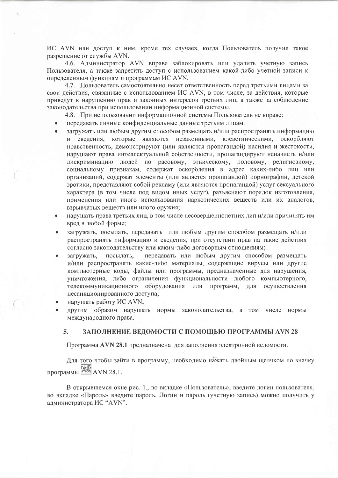ИС AVN или доступ к ним, кроме тех случаев, когда Пользователь получил такое разрешение от службы AVN.

4.6. Администратор AVN вправе заблокировать или удалить учетную запись Пользователя, а также запретить доступ с использованием какой-либо учетной записи к определенным функциям и программам ИС AVN.

4.7. Пользователь самостоятельно несет ответственность перед третьими лицами за свои действия, связанные с использованием ИС AVN, в том числе, за действия, которые приведут к нарушению прав и законных интересов третьих лиц, а также за соблюдение законодательства при использовании информационной системы.

4.8. При использовании информационной системы Пользователь не вправе:

- передавать личные конфиденциальные данные третьим лицам.
- загружать или любым другим способом размещать и/или распространять информацию  $\bullet$ и сведения, которые являются незаконными, клеветническими, оскорбляют нравственность, демонстрируют (или являются пропагандой) насилия и жестокости. нарушают права интеллектуальной собственности, пропагандируют ненависть и/или дискриминацию людей по расовому, этническому, половому, религиозному, социальному признакам, содержат оскорбления в адрес каких-либо лиц или организаций, содержат элементы (или является пропагандой) порнографии, детской эротики, представляют собой рекламу (или являются пропагандой) услуг сексуального характера (в том числе под видом иных услуг), разъясняют порядок изготовления, применения или иного использования наркотических веществ или их аналогов, взрывчатых веществ или иного оружия;
- нарушать права третьих лиц, в том числе несовершеннолетних лип и/или причинять им вред в любой форме:
- загружать, посылать, передавать или любым другим способом размещать и/или распространять информацию и сведения, при отсутствии прав на такие действия согласно законодательству или каким-либо договорным отношениям;
- загружать, посылать, передавать или любым другим способом размещать и/или распространять какие-либо материалы, содержащие вирусы или другие компьютерные колы, файлы или программы, предназначенные для нарушения, уничтожения, либо ограничения функциональности любого компьютерного, телекоммуникационного оборудования или программ, для осуществления несанкционированного доступа;
- нарушать работу ИС AVN:
- другим образом нарушать нормы законодательства, в том числе нормы международного права.

### ЗАПОЛНЕНИЕ ВЕДОМОСТИ С ПОМОЩЬЮ ПРОГРАММЫ AVN 28  $5.$

Программа AVN 28.1 предназначена для заполнения электронной ведомости.

Для того чтобы зайти в программу, необходимо нажать двойным щелчком по значку программы **AM** AVN 28.1.

В открывшемся окне рис. 1., во вкладке «Пользователь», введите логин пользователя, во вкладке «Пароль» введите пароль. Логин и пароль (учетную запись) можно получить у администратора ИС "AVN".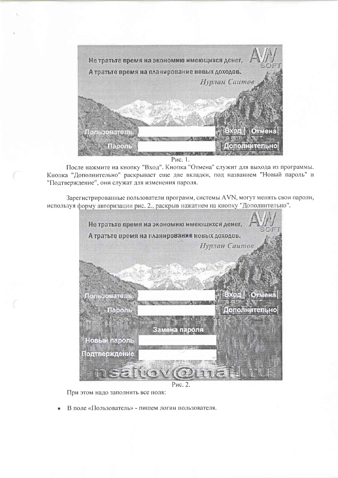

Рис. 1.

После нажмите на кнопку "Вход". Кнопка "Отмена" служит для выхода из программы. Кнопка "Дополнительно" раскрывает еще две вкладки, под названием "Новый пароль" и "Подтверждение", они служат для изменения пароля.

Зарегистрированные пользователи программ, системы AVN, могут менять свои пароли, используя форму авторизации рис. 2., раскрыв нажатием на кнопку "Дополнительно".

|                     |               | Не тратьте время на экономию имеющихся денег,  |               |
|---------------------|---------------|------------------------------------------------|---------------|
|                     |               | А тратьте время на планирование новых доходов. |               |
|                     |               | Нурлан Саитов                                  |               |
|                     |               |                                                |               |
|                     |               |                                                |               |
|                     |               |                                                |               |
| Пользователь        |               |                                                | Вход Отмена   |
|                     |               |                                                |               |
| <b>В. Пароль</b>    |               |                                                | Дополнительно |
|                     |               |                                                |               |
|                     | Замена пароля |                                                |               |
| Новый пароль        |               |                                                |               |
| <b>юдтверждение</b> |               |                                                |               |
|                     |               |                                                |               |
|                     | Sallion1      | <b>SuperLiter</b>                              |               |

Рис. 2.

При этом надо заполнить все поля:

В поле «Пользователь» - пишем логин пользователя.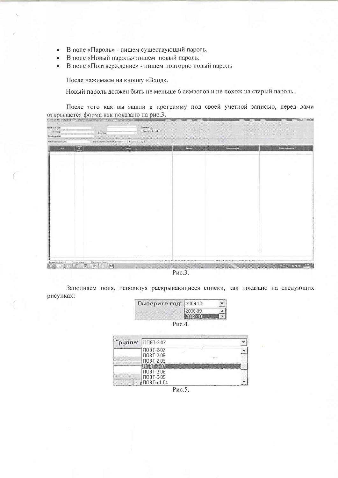- В поле «Пароль» пишем существующий пароль.  $\bullet$
- В поле «Новый пароль» пишем новый пароль.
- В поле «Подтверждение» пишем повторно новый пароль  $\bullet$

После нажимаем на кнопку «Вход».

Новый пароль должен быть не меньше 6 символов и не похож на старый пароль.

После того как вы зашли в программу под своей учетной записью, перед вами открывается форма как показано на рис.3.

| This Brist run-<br>Симвогр.<br>Дисципенна: | e<br><b>T</b> pyrme                                 | Проимии<br>Beausevers (mont) |             |                          |                                                                                                                                     |
|--------------------------------------------|-----------------------------------------------------|------------------------------|-------------|--------------------------|-------------------------------------------------------------------------------------------------------------------------------------|
| Форма недвешств.                           | Zister convin and error (512.253 EP) Scrameers aves |                              |             |                          |                                                                                                                                     |
| E.<br><b>Jun</b>                           |                                                     | <b>Theme</b>                 | <b>Tysm</b> | <b>Flate-Manner Res.</b> | <b>STATISTICS</b>                                                                                                                   |
|                                            |                                                     |                              |             |                          |                                                                                                                                     |
|                                            |                                                     |                              |             |                          |                                                                                                                                     |
|                                            |                                                     |                              |             |                          |                                                                                                                                     |
|                                            |                                                     |                              |             |                          |                                                                                                                                     |
|                                            |                                                     |                              |             |                          |                                                                                                                                     |
|                                            |                                                     |                              |             |                          |                                                                                                                                     |
|                                            |                                                     |                              |             |                          |                                                                                                                                     |
|                                            |                                                     |                              |             |                          |                                                                                                                                     |
|                                            |                                                     |                              |             |                          |                                                                                                                                     |
|                                            |                                                     |                              |             |                          |                                                                                                                                     |
|                                            |                                                     |                              |             |                          |                                                                                                                                     |
|                                            |                                                     |                              |             |                          |                                                                                                                                     |
|                                            |                                                     |                              |             |                          |                                                                                                                                     |
|                                            |                                                     | $\mathcal{R}$ .              |             |                          |                                                                                                                                     |
|                                            |                                                     |                              |             |                          |                                                                                                                                     |
|                                            |                                                     |                              |             |                          |                                                                                                                                     |
| Колематической б.<br>Technology Streets of | Europeene Spred<br>网<br>□<br><b>W</b>               |                              |             |                          | $\mathcal{H}(\mathcal{D})\overset{\sigma}{\rightarrow}\mathcal{L}(\mathcal{D})\mathcal{D}$<br>$\frac{11.32}{100.12 \times 10^{-2}}$ |

Рис.3.

Заполняем поля, используя раскрывающиеся списки, как показано на следующих рисунках:

| Выберите год: | 2009-10 |  |
|---------------|---------|--|
|               | 2008-09 |  |
| an tarawa     |         |  |

|   | Группа: ПОВТ-3-07                                | <b>INTERNATIONAL PROPERTY</b> |
|---|--------------------------------------------------|-------------------------------|
|   | ПОВТ-2-07<br>1081-2-08<br>DOBT-2-09              |                               |
|   | <b>NOBT-3-08</b>                                 |                               |
| . | T0BT-3-09<br>$\sqrt{10B}$ T $\overline{3}$ -1-04 |                               |